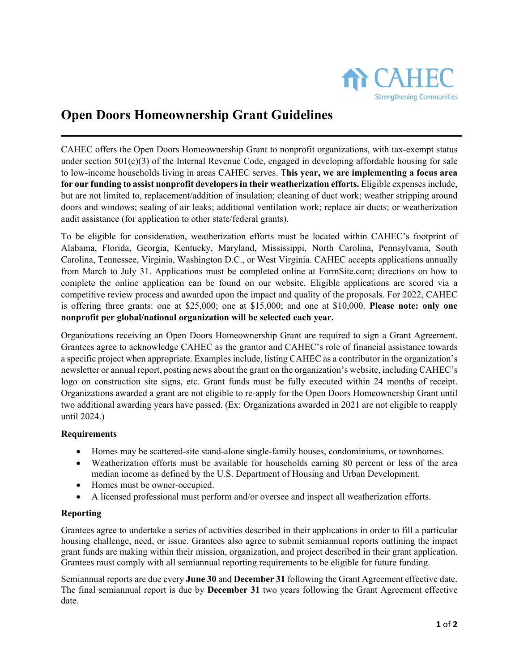

# **Open Doors Homeownership Grant Guidelines**

CAHEC offers the Open Doors Homeownership Grant to nonprofit organizations, with tax-exempt status under section  $501(c)(3)$  of the Internal Revenue Code, engaged in developing affordable housing for sale to low-income households living in areas CAHEC serves. T**his year, we are implementing a focus area for our funding to assist nonprofit developers in their weatherization efforts.** Eligible expenses include, but are not limited to, replacement/addition of insulation; cleaning of duct work; weather stripping around doors and windows; sealing of air leaks; additional ventilation work; replace air ducts; or weatherization audit assistance (for application to other state/federal grants).

To be eligible for consideration, weatherization efforts must be located within CAHEC's footprint of Alabama, Florida, Georgia, Kentucky, Maryland, Mississippi, North Carolina, Pennsylvania, South Carolina, Tennessee, Virginia, Washington D.C., or West Virginia. CAHEC accepts applications annually from March to July 31. Applications must be completed online at FormSite.com; directions on how to complete the online application can be found on our website. Eligible applications are scored via a competitive review process and awarded upon the impact and quality of the proposals. For 2022, CAHEC is offering three grants: one at \$25,000; one at \$15,000; and one at \$10,000. **Please note: only one nonprofit per global/national organization will be selected each year.**

Organizations receiving an Open Doors Homeownership Grant are required to sign a Grant Agreement. Grantees agree to acknowledge CAHEC as the grantor and CAHEC's role of financial assistance towards a specific project when appropriate. Examples include, listing CAHEC as a contributor in the organization's newsletter or annual report, posting news about the grant on the organization's website, including CAHEC's logo on construction site signs, etc. Grant funds must be fully executed within 24 months of receipt. Organizations awarded a grant are not eligible to re-apply for the Open Doors Homeownership Grant until two additional awarding years have passed. (Ex: Organizations awarded in 2021 are not eligible to reapply until 2024.)

## **Requirements**

- Homes may be scattered-site stand-alone single-family houses, condominiums, or townhomes.
- Weatherization efforts must be available for households earning 80 percent or less of the area median income as defined by the U.S. Department of Housing and Urban Development.
- Homes must be owner-occupied.
- A licensed professional must perform and/or oversee and inspect all weatherization efforts.

## **Reporting**

Grantees agree to undertake a series of activities described in their applications in order to fill a particular housing challenge, need, or issue. Grantees also agree to submit semiannual reports outlining the impact grant funds are making within their mission, organization, and project described in their grant application. Grantees must comply with all semiannual reporting requirements to be eligible for future funding.

Semiannual reports are due every **June 30** and **December 31** following the Grant Agreement effective date. The final semiannual report is due by **December 31** two years following the Grant Agreement effective date.